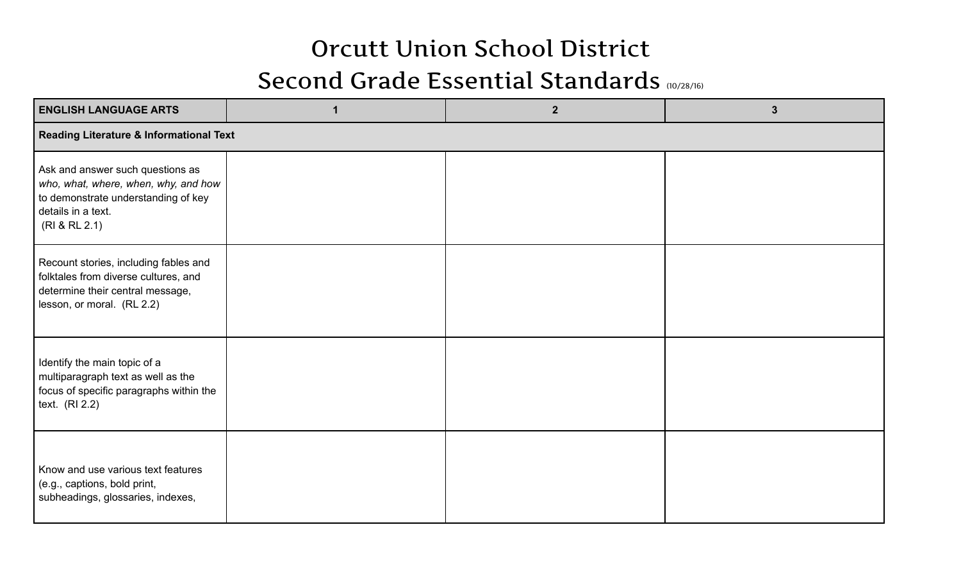## Orcutt Union School District

## Second Grade Essential Standards (10/28/16)

| <b>ENGLISH LANGUAGE ARTS</b>                                                                                                                           |  | $\overline{2}$ | $\mathbf{3}$ |  |  |  |
|--------------------------------------------------------------------------------------------------------------------------------------------------------|--|----------------|--------------|--|--|--|
| <b>Reading Literature &amp; Informational Text</b>                                                                                                     |  |                |              |  |  |  |
| Ask and answer such questions as<br>who, what, where, when, why, and how<br>to demonstrate understanding of key<br>details in a text.<br>(RI & RL 2.1) |  |                |              |  |  |  |
| Recount stories, including fables and<br>folktales from diverse cultures, and<br>determine their central message,<br>lesson, or moral. (RL 2.2)        |  |                |              |  |  |  |
| Identify the main topic of a<br>multiparagraph text as well as the<br>focus of specific paragraphs within the<br>text. $(RI 2.2)$                      |  |                |              |  |  |  |
| Know and use various text features<br>(e.g., captions, bold print,<br>subheadings, glossaries, indexes,                                                |  |                |              |  |  |  |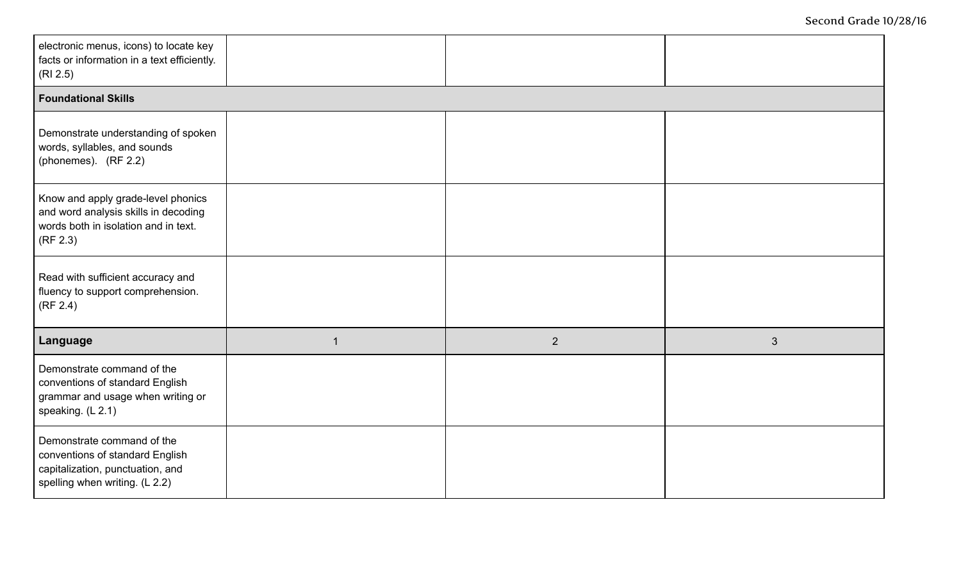| electronic menus, icons) to locate key<br>facts or information in a text efficiently.<br>(RI 2.5)                                   |                |   |                |  |  |  |
|-------------------------------------------------------------------------------------------------------------------------------------|----------------|---|----------------|--|--|--|
| <b>Foundational Skills</b>                                                                                                          |                |   |                |  |  |  |
| Demonstrate understanding of spoken<br>words, syllables, and sounds<br>(phonemes). (RF 2.2)                                         |                |   |                |  |  |  |
| Know and apply grade-level phonics<br>and word analysis skills in decoding<br>words both in isolation and in text.<br>(RF 2.3)      |                |   |                |  |  |  |
| Read with sufficient accuracy and<br>fluency to support comprehension.<br>(RF 2.4)                                                  |                |   |                |  |  |  |
| Language                                                                                                                            | $\overline{1}$ | 2 | $\mathfrak{S}$ |  |  |  |
| Demonstrate command of the<br>conventions of standard English<br>grammar and usage when writing or<br>speaking. (L 2.1)             |                |   |                |  |  |  |
| Demonstrate command of the<br>conventions of standard English<br>capitalization, punctuation, and<br>spelling when writing. (L 2.2) |                |   |                |  |  |  |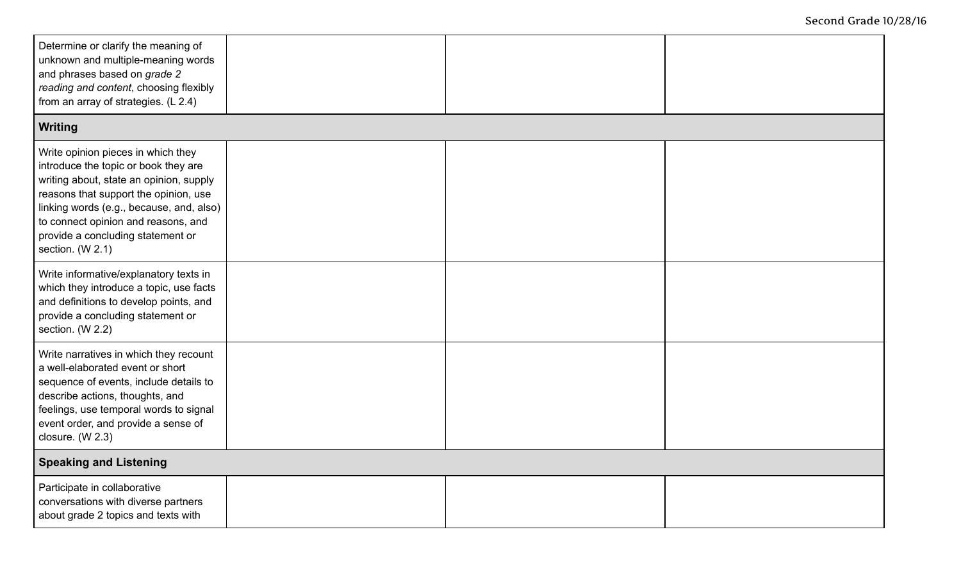| Determine or clarify the meaning of<br>unknown and multiple-meaning words<br>and phrases based on grade 2<br>reading and content, choosing flexibly<br>from an array of strategies. (L 2.4)                                                                                                                |  |  |  |  |  |  |
|------------------------------------------------------------------------------------------------------------------------------------------------------------------------------------------------------------------------------------------------------------------------------------------------------------|--|--|--|--|--|--|
| Writing                                                                                                                                                                                                                                                                                                    |  |  |  |  |  |  |
| Write opinion pieces in which they<br>introduce the topic or book they are<br>writing about, state an opinion, supply<br>reasons that support the opinion, use<br>linking words (e.g., because, and, also)<br>to connect opinion and reasons, and<br>provide a concluding statement or<br>section. (W 2.1) |  |  |  |  |  |  |
| Write informative/explanatory texts in<br>which they introduce a topic, use facts<br>and definitions to develop points, and<br>provide a concluding statement or<br>section. (W 2.2)                                                                                                                       |  |  |  |  |  |  |
| Write narratives in which they recount<br>a well-elaborated event or short<br>sequence of events, include details to<br>describe actions, thoughts, and<br>feelings, use temporal words to signal<br>event order, and provide a sense of<br>closure. (W 2.3)                                               |  |  |  |  |  |  |
| <b>Speaking and Listening</b>                                                                                                                                                                                                                                                                              |  |  |  |  |  |  |
| Participate in collaborative<br>conversations with diverse partners<br>about grade 2 topics and texts with                                                                                                                                                                                                 |  |  |  |  |  |  |